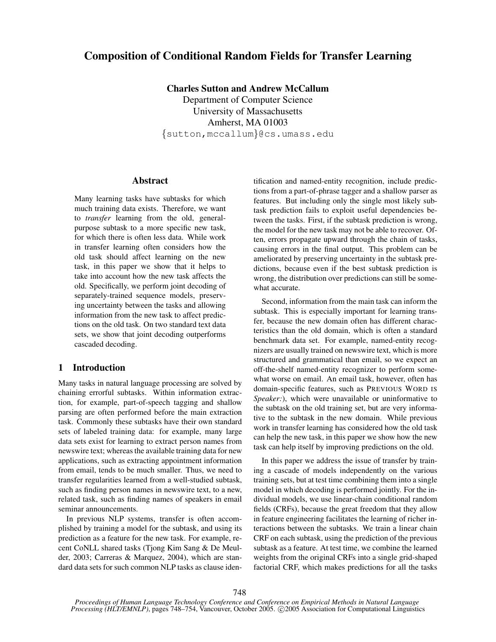# Composition of Conditional Random Fields for Transfer Learning

Charles Sutton and Andrew McCallum Department of Computer Science University of Massachusetts Amherst, MA 01003 {sutton,mccallum}@cs.umass.edu

#### Abstract

Many learning tasks have subtasks for which much training data exists. Therefore, we want to *transfer* learning from the old, generalpurpose subtask to a more specific new task, for which there is often less data. While work in transfer learning often considers how the old task should affect learning on the new task, in this paper we show that it helps to take into account how the new task affects the old. Specifically, we perform joint decoding of separately-trained sequence models, preserving uncertainty between the tasks and allowing information from the new task to affect predictions on the old task. On two standard text data sets, we show that joint decoding outperforms cascaded decoding.

# 1 Introduction

Many tasks in natural language processing are solved by chaining errorful subtasks. Within information extraction, for example, part-of-speech tagging and shallow parsing are often performed before the main extraction task. Commonly these subtasks have their own standard sets of labeled training data: for example, many large data sets exist for learning to extract person names from newswire text; whereas the available training data for new applications, such as extracting appointment information from email, tends to be much smaller. Thus, we need to transfer regularities learned from a well-studied subtask, such as finding person names in newswire text, to a new, related task, such as finding names of speakers in email seminar announcements.

In previous NLP systems, transfer is often accomplished by training a model for the subtask, and using its prediction as a feature for the new task. For example, recent CoNLL shared tasks (Tjong Kim Sang & De Meulder, 2003; Carreras & Marquez, 2004), which are standard data sets for such common NLP tasks as clause identification and named-entity recognition, include predictions from a part-of-phrase tagger and a shallow parser as features. But including only the single most likely subtask prediction fails to exploit useful dependencies between the tasks. First, if the subtask prediction is wrong, the model for the new task may not be able to recover. Often, errors propagate upward through the chain of tasks, causing errors in the final output. This problem can be ameliorated by preserving uncertainty in the subtask predictions, because even if the best subtask prediction is wrong, the distribution over predictions can still be somewhat accurate.

Second, information from the main task can inform the subtask. This is especially important for learning transfer, because the new domain often has different characteristics than the old domain, which is often a standard benchmark data set. For example, named-entity recognizers are usually trained on newswire text, which is more structured and grammatical than email, so we expect an off-the-shelf named-entity recognizer to perform somewhat worse on email. An email task, however, often has domain-specific features, such as PREVIOUS WORD IS *Speaker:*), which were unavailable or uninformative to the subtask on the old training set, but are very informative to the subtask in the new domain. While previous work in transfer learning has considered how the old task can help the new task, in this paper we show how the new task can help itself by improving predictions on the old.

In this paper we address the issue of transfer by training a cascade of models independently on the various training sets, but at test time combining them into a single model in which decoding is performed jointly. For the individual models, we use linear-chain conditional random fields (CRFs), because the great freedom that they allow in feature engineering facilitates the learning of richer interactions between the subtasks. We train a linear chain CRF on each subtask, using the prediction of the previous subtask as a feature. At test time, we combine the learned weights from the original CRFs into a single grid-shaped factorial CRF, which makes predictions for all the tasks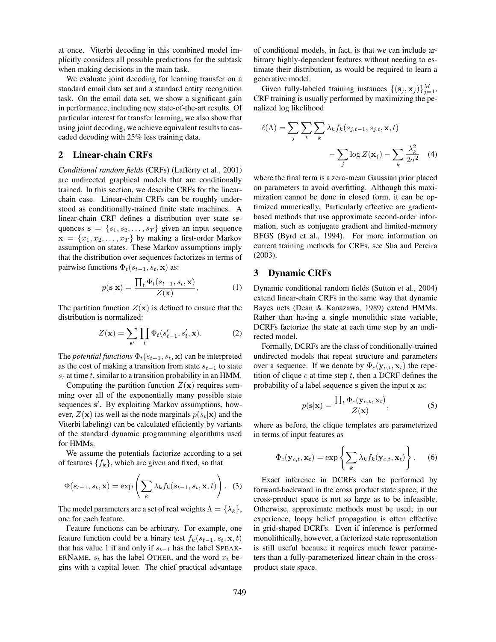at once. Viterbi decoding in this combined model implicitly considers all possible predictions for the subtask when making decisions in the main task.

We evaluate joint decoding for learning transfer on a standard email data set and a standard entity recognition task. On the email data set, we show a significant gain in performance, including new state-of-the-art results. Of particular interest for transfer learning, we also show that using joint decoding, we achieve equivalent results to cascaded decoding with 25% less training data.

### 2 Linear-chain CRFs

*Conditional random fields* (CRFs) (Lafferty et al., 2001) are undirected graphical models that are conditionally trained. In this section, we describe CRFs for the linearchain case. Linear-chain CRFs can be roughly understood as conditionally-trained finite state machines. A linear-chain CRF defines a distribution over state sequences  $\mathbf{s} = \{s_1, s_2, \dots, s_T\}$  given an input sequence  $\mathbf{x} = \{x_1, x_2, \dots, x_T\}$  by making a first-order Markov assumption on states. These Markov assumptions imply that the distribution over sequences factorizes in terms of pairwise functions  $\Phi_t(s_{t-1}, s_t, \mathbf{x})$  as:

$$
p(\mathbf{s}|\mathbf{x}) = \frac{\prod_{t} \Phi_t(s_{t-1}, s_t, \mathbf{x})}{Z(\mathbf{x})},
$$
 (1)

The partition function  $Z(\mathbf{x})$  is defined to ensure that the distribution is normalized:

$$
Z(\mathbf{x}) = \sum_{\mathbf{s}'} \prod_t \Phi_t(s'_{t-1}, s'_t, \mathbf{x}).
$$
 (2)

The *potential functions*  $\Phi_t(s_{t-1}, s_t, \mathbf{x})$  can be interpreted as the cost of making a transition from state  $s_{t-1}$  to state  $s_t$  at time t, similar to a transition probability in an HMM.

Computing the partition function  $Z(\mathbf{x})$  requires summing over all of the exponentially many possible state sequences s'. By exploiting Markov assumptions, however,  $Z(\mathbf{x})$  (as well as the node marginals  $p(s_t|\mathbf{x})$  and the Viterbi labeling) can be calculated efficiently by variants of the standard dynamic programming algorithms used for HMMs.

We assume the potentials factorize according to a set of features  $\{f_k\}$ , which are given and fixed, so that

$$
\Phi(s_{t-1}, s_t, \mathbf{x}) = \exp\left(\sum_k \lambda_k f_k(s_{t-1}, s_t, \mathbf{x}, t)\right).
$$
 (3)

The model parameters are a set of real weights  $\Lambda = {\lambda_k}$ , one for each feature.

Feature functions can be arbitrary. For example, one feature function could be a binary test  $f_k(s_{t-1}, s_t, \mathbf{x}, t)$ that has value 1 if and only if  $s_{t-1}$  has the label SPEAK-ERNAME,  $s_t$  has the label OTHER, and the word  $x_t$  begins with a capital letter. The chief practical advantage of conditional models, in fact, is that we can include arbitrary highly-dependent features without needing to estimate their distribution, as would be required to learn a generative model.

Given fully-labeled training instances  $\{(\mathbf{s}_j, \mathbf{x}_j)\}_{j=1}^M$ , CRF training is usually performed by maximizing the penalized log likelihood

$$
\ell(\Lambda) = \sum_{j} \sum_{t} \sum_{k} \lambda_{k} f_{k}(s_{j,t-1}, s_{j,t}, \mathbf{x}, t) - \sum_{j} \log Z(\mathbf{x}_{j}) - \sum_{k} \frac{\lambda_{k}^{2}}{2\sigma^{2}} \quad (4)
$$

where the final term is a zero-mean Gaussian prior placed on parameters to avoid overfitting. Although this maximization cannot be done in closed form, it can be optimized numerically. Particularly effective are gradientbased methods that use approximate second-order information, such as conjugate gradient and limited-memory BFGS (Byrd et al., 1994). For more information on current training methods for CRFs, see Sha and Pereira (2003).

### 3 Dynamic CRFs

Dynamic conditional random fields (Sutton et al., 2004) extend linear-chain CRFs in the same way that dynamic Bayes nets (Dean & Kanazawa, 1989) extend HMMs. Rather than having a single monolithic state variable, DCRFs factorize the state at each time step by an undirected model.

Formally, DCRFs are the class of conditionally-trained undirected models that repeat structure and parameters over a sequence. If we denote by  $\Phi_c(\mathbf{y}_{c,t}, \mathbf{x}_t)$  the repetition of clique  $c$  at time step  $t$ , then a DCRF defines the probability of a label sequence s given the input x as:

$$
p(\mathbf{s}|\mathbf{x}) = \frac{\prod_{t} \Phi_c(\mathbf{y}_{c,t}, \mathbf{x}_t)}{Z(\mathbf{x})},
$$
 (5)

where as before, the clique templates are parameterized in terms of input features as

$$
\Phi_c(\mathbf{y}_{c,t}, \mathbf{x}_t) = \exp\left\{\sum_k \lambda_k f_k(\mathbf{y}_{c,t}, \mathbf{x}_t)\right\}.
$$
 (6)

Exact inference in DCRFs can be performed by forward-backward in the cross product state space, if the cross-product space is not so large as to be infeasible. Otherwise, approximate methods must be used; in our experience, loopy belief propagation is often effective in grid-shaped DCRFs. Even if inference is performed monolithically, however, a factorized state representation is still useful because it requires much fewer parameters than a fully-parameterized linear chain in the crossproduct state space.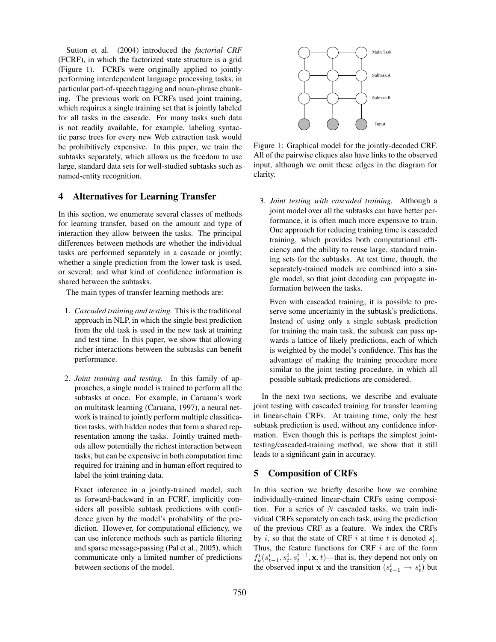Sutton et al. (2004) introduced the *factorial CRF* (FCRF), in which the factorized state structure is a grid (Figure 1). FCRFs were originally applied to jointly performing interdependent language processing tasks, in particular part-of-speech tagging and noun-phrase chunking. The previous work on FCRFs used joint training, which requires a single training set that is jointly labeled for all tasks in the cascade. For many tasks such data is not readily available, for example, labeling syntactic parse trees for every new Web extraction task would be prohibitively expensive. In this paper, we train the subtasks separately, which allows us the freedom to use large, standard data sets for well-studied subtasks such as named-entity recognition.

### 4 Alternatives for Learning Transfer

In this section, we enumerate several classes of methods for learning transfer, based on the amount and type of interaction they allow between the tasks. The principal differences between methods are whether the individual tasks are performed separately in a cascade or jointly; whether a single prediction from the lower task is used, or several; and what kind of confidence information is shared between the subtasks.

The main types of transfer learning methods are:

- 1. *Cascaded training and testing.* This is the traditional approach in NLP, in which the single best prediction from the old task is used in the new task at training and test time. In this paper, we show that allowing richer interactions between the subtasks can benefit performance.
- 2. *Joint training and testing.* In this family of approaches, a single model is trained to perform all the subtasks at once. For example, in Caruana's work on multitask learning (Caruana, 1997), a neural network is trained to jointly perform multiple classification tasks, with hidden nodes that form a shared representation among the tasks. Jointly trained methods allow potentially the richest interaction between tasks, but can be expensive in both computation time required for training and in human effort required to label the joint training data.

Exact inference in a jointly-trained model, such as forward-backward in an FCRF, implicitly considers all possible subtask predictions with confidence given by the model's probability of the prediction. However, for computational efficiency, we can use inference methods such as particle filtering and sparse message-passing (Pal et al., 2005), which communicate only a limited number of predictions between sections of the model.



Figure 1: Graphical model for the jointly-decoded CRF. All of the pairwise cliques also have links to the observed input, although we omit these edges in the diagram for clarity.

3. *Joint testing with cascaded training.* Although a joint model over all the subtasks can have better performance, it is often much more expensive to train. One approach for reducing training time is cascaded training, which provides both computational efficiency and the ability to reuse large, standard training sets for the subtasks. At test time, though, the separately-trained models are combined into a single model, so that joint decoding can propagate information between the tasks.

Even with cascaded training, it is possible to preserve some uncertainty in the subtask's predictions. Instead of using only a single subtask prediction for training the main task, the subtask can pass upwards a lattice of likely predictions, each of which is weighted by the model's confidence. This has the advantage of making the training procedure more similar to the joint testing procedure, in which all possible subtask predictions are considered.

In the next two sections, we describe and evaluate joint testing with cascaded training for transfer learning in linear-chain CRFs. At training time, only the best subtask prediction is used, without any confidence information. Even though this is perhaps the simplest jointtesting/cascaded-training method, we show that it still leads to a significant gain in accuracy.

# 5 Composition of CRFs

In this section we briefly describe how we combine individually-trained linear-chain CRFs using composition. For a series of  $N$  cascaded tasks, we train individual CRFs separately on each task, using the prediction of the previous CRF as a feature. We index the CRFs by *i*, so that the state of CRF *i* at time *t* is denoted  $s_t^i$ . Thus, the feature functions for CRF  $i$  are of the form  $f_k^i(s_{t-1}^i, s_t^i, s_t^{i-1}, \mathbf{x}, t)$ —that is, they depend not only on the observed input x and the transition  $(s_{t-1}^i \rightarrow s_t^i)$  but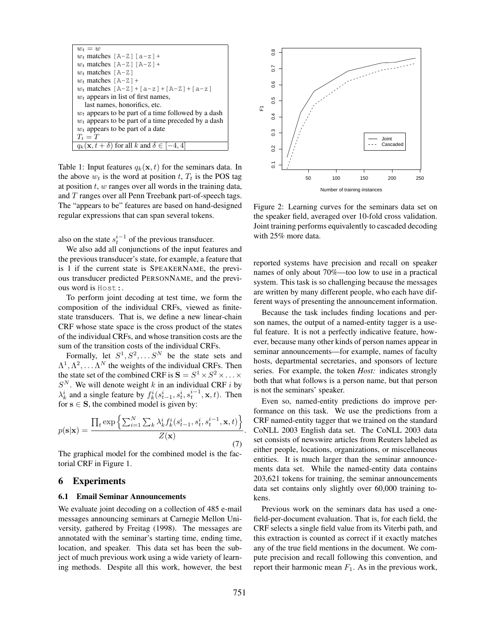| $w_t = w$                                                        |  |  |  |  |  |
|------------------------------------------------------------------|--|--|--|--|--|
| $w_t$ matches [A-Z] [a-z] +                                      |  |  |  |  |  |
| $w_t$ matches $[A-Z] [A-Z] +$                                    |  |  |  |  |  |
| $w_t$ matches [A-Z]                                              |  |  |  |  |  |
| $w_t$ matches $[A-Z]+$                                           |  |  |  |  |  |
| $w_t$ matches $[A-Z] + [a-z] + [A-Z] + [a-z]$                    |  |  |  |  |  |
| $w_t$ appears in list of first names,                            |  |  |  |  |  |
| last names, honorifics, etc.                                     |  |  |  |  |  |
| $w_t$ appears to be part of a time followed by a dash            |  |  |  |  |  |
| $w_t$ appears to be part of a time preceded by a dash            |  |  |  |  |  |
| $w_t$ appears to be part of a date                               |  |  |  |  |  |
| $T_t = T$                                                        |  |  |  |  |  |
| $q_k(\mathbf{x}, t + \delta)$ for all k and $\delta \in [-4, 4]$ |  |  |  |  |  |

Table 1: Input features  $q_k(\mathbf{x}, t)$  for the seminars data. In the above  $w_t$  is the word at position t,  $T_t$  is the POS tag at position  $t$ ,  $w$  ranges over all words in the training data, and T ranges over all Penn Treebank part-of-speech tags. The "appears to be" features are based on hand-designed regular expressions that can span several tokens.

also on the state  $s_t^{i-1}$  of the previous transducer.

We also add all conjunctions of the input features and the previous transducer's state, for example, a feature that is 1 if the current state is SPEAKERNAME, the previous transducer predicted PERSONNAME, and the previous word is Host:.

To perform joint decoding at test time, we form the composition of the individual CRFs, viewed as finitestate transducers. That is, we define a new linear-chain CRF whose state space is the cross product of the states of the individual CRFs, and whose transition costs are the sum of the transition costs of the individual CRFs.

Formally, let  $S^1, S^2, \ldots S^N$  be the state sets and  $\Lambda^1, \Lambda^2, \ldots \Lambda^N$  the weights of the individual CRFs. Then the state set of the combined CRF is  $S = S^1 \times S^2 \times \ldots \times$  $S<sup>N</sup>$ . We will denote weight k in an individual CRF i by  $\lambda_k^i$  and a single feature by  $f_k^i(s_{t-1}^i, s_t^i, s_t^{i-1}, \mathbf{x}, t)$ . Then for  $s \in S$ , the combined model is given by:

$$
p(\mathbf{s}|\mathbf{x}) = \frac{\prod_{t} \exp\left\{\sum_{i=1}^{N} \sum_{k} \lambda_k^{i} f_k^{i}(s_{t-1}^{i}, s_t^{i}, s_t^{i-1}, \mathbf{x}, t)\right\}}{Z(\mathbf{x})}.
$$
\n(7)

The graphical model for the combined model is the factorial CRF in Figure 1.

#### 6 Experiments

#### 6.1 Email Seminar Announcements

We evaluate joint decoding on a collection of 485 e-mail messages announcing seminars at Carnegie Mellon University, gathered by Freitag (1998). The messages are annotated with the seminar's starting time, ending time, location, and speaker. This data set has been the subject of much previous work using a wide variety of learning methods. Despite all this work, however, the best



Figure 2: Learning curves for the seminars data set on the speaker field, averaged over 10-fold cross validation. Joint training performs equivalently to cascaded decoding with 25% more data.

reported systems have precision and recall on speaker names of only about 70%—too low to use in a practical system. This task is so challenging because the messages are written by many different people, who each have different ways of presenting the announcement information.

Because the task includes finding locations and person names, the output of a named-entity tagger is a useful feature. It is not a perfectly indicative feature, however, because many other kinds of person names appear in seminar announcements—for example, names of faculty hosts, departmental secretaries, and sponsors of lecture series. For example, the token *Host:* indicates strongly both that what follows is a person name, but that person is not the seminars' speaker.

Even so, named-entity predictions do improve performance on this task. We use the predictions from a CRF named-entity tagger that we trained on the standard CoNLL 2003 English data set. The CoNLL 2003 data set consists of newswire articles from Reuters labeled as either people, locations, organizations, or miscellaneous entities. It is much larger than the seminar announcements data set. While the named-entity data contains 203,621 tokens for training, the seminar announcements data set contains only slightly over 60,000 training tokens.

Previous work on the seminars data has used a onefield-per-document evaluation. That is, for each field, the CRF selects a single field value from its Viterbi path, and this extraction is counted as correct if it exactly matches any of the true field mentions in the document. We compute precision and recall following this convention, and report their harmonic mean  $F_1$ . As in the previous work,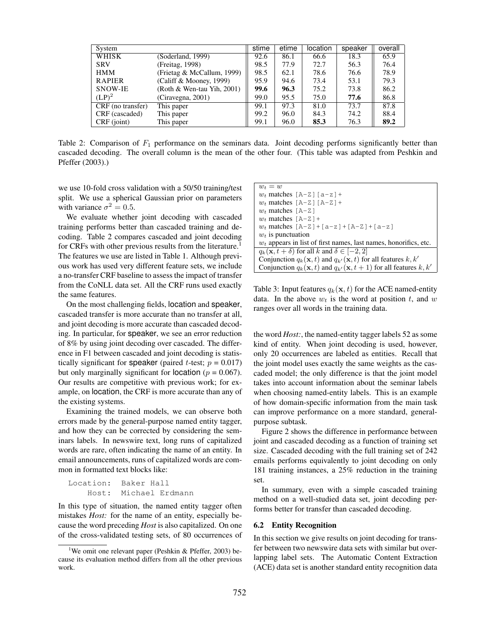| System            |                            | stime | etime | location | speaker | overall |
|-------------------|----------------------------|-------|-------|----------|---------|---------|
| <b>WHISK</b>      | (Soderland, 1999)          | 92.6  | 86.1  | 66.6     | 18.3    | 65.9    |
| <b>SRV</b>        | (Freitag, 1998)            | 98.5  | 77.9  | 72.7     | 56.3    | 76.4    |
| <b>HMM</b>        | (Frietag & McCallum, 1999) | 98.5  | 62.1  | 78.6     | 76.6    | 78.9    |
| <b>RAPIER</b>     | (Califf & Mooney, 1999)    | 95.9  | 94.6  | 73.4     | 53.1    | 79.3    |
| <b>SNOW-IE</b>    | (Roth & Wen-tau Yih, 2001) | 99.6  | 96.3  | 75.2     | 73.8    | 86.2    |
| $(LP)^2$          | (Ciravegna, 2001)          | 99.0  | 95.5  | 75.0     | 77.6    | 86.8    |
| CRF (no transfer) | This paper                 | 99.1  | 97.3  | 81.0     | 73.7    | 87.8    |
| CRF (cascaded)    | This paper                 | 99.2  | 96.0  | 84.3     | 74.2    | 88.4    |
| $CRF$ (joint)     | This paper                 | 99.1  | 96.0  | 85.3     | 76.3    | 89.2    |

Table 2: Comparison of  $F_1$  performance on the seminars data. Joint decoding performs significantly better than cascaded decoding. The overall column is the mean of the other four. (This table was adapted from Peshkin and Pfeffer (2003).)

we use 10-fold cross validation with a 50/50 training/test split. We use a spherical Gaussian prior on parameters with variance  $\sigma^2 = 0.5$ .

We evaluate whether joint decoding with cascaded training performs better than cascaded training and decoding. Table 2 compares cascaded and joint decoding for CRFs with other previous results from the literature.<sup>1</sup> The features we use are listed in Table 1. Although previous work has used very different feature sets, we include a no-transfer CRF baseline to assess the impact of transfer from the CoNLL data set. All the CRF runs used exactly the same features.

On the most challenging fields, location and speaker, cascaded transfer is more accurate than no transfer at all, and joint decoding is more accurate than cascaded decoding. In particular, for speaker, we see an error reduction of 8% by using joint decoding over cascaded. The difference in F1 between cascaded and joint decoding is statistically significant for speaker (paired *t*-test;  $p = 0.017$ ) but only marginally significant for location ( $p = 0.067$ ). Our results are competitive with previous work; for example, on location, the CRF is more accurate than any of the existing systems.

Examining the trained models, we can observe both errors made by the general-purpose named entity tagger, and how they can be corrected by considering the seminars labels. In newswire text, long runs of capitalized words are rare, often indicating the name of an entity. In email announcements, runs of capitalized words are common in formatted text blocks like:

```
Location: Baker Hall
Host: Michael Erdmann
```
In this type of situation, the named entity tagger often mistakes *Host:* for the name of an entity, especially because the word preceding *Host* is also capitalized. On one of the cross-validated testing sets, of 80 occurrences of

| $w_t = w$                                                                               |  |  |  |  |  |
|-----------------------------------------------------------------------------------------|--|--|--|--|--|
|                                                                                         |  |  |  |  |  |
| $w_t$ matches $[A-Z]$ $[a-z]$ +                                                         |  |  |  |  |  |
| $w_t$ matches $[A-Z] [A-Z]$ +                                                           |  |  |  |  |  |
| $w_t$ matches [A-Z]                                                                     |  |  |  |  |  |
| $w_t$ matches $[A-Z]+$                                                                  |  |  |  |  |  |
| $w_t$ matches $[A-Z] + [a-z] + [A-Z] + [a-z]$                                           |  |  |  |  |  |
| $w_t$ is punctuation                                                                    |  |  |  |  |  |
| $w_t$ appears in list of first names, last names, honorifics, etc.                      |  |  |  |  |  |
| $q_k(\mathbf{x}, t + \delta)$ for all k and $\delta \in [-2, 2]$                        |  |  |  |  |  |
| Conjunction $q_k(\mathbf{x},t)$ and $q_{k'}(\mathbf{x},t)$ for all features $k, k'$     |  |  |  |  |  |
| Conjunction $q_k(\mathbf{x}, t)$ and $q_{k'}(\mathbf{x}, t+1)$ for all features $k, k'$ |  |  |  |  |  |

Table 3: Input features  $q_k(\mathbf{x}, t)$  for the ACE named-entity data. In the above  $w_t$  is the word at position t, and w ranges over all words in the training data.

the word *Host:*, the named-entity tagger labels 52 as some kind of entity. When joint decoding is used, however, only 20 occurrences are labeled as entities. Recall that the joint model uses exactly the same weights as the cascaded model; the only difference is that the joint model takes into account information about the seminar labels when choosing named-entity labels. This is an example of how domain-specific information from the main task can improve performance on a more standard, generalpurpose subtask.

Figure 2 shows the difference in performance between joint and cascaded decoding as a function of training set size. Cascaded decoding with the full training set of 242 emails performs equivalently to joint decoding on only 181 training instances, a 25% reduction in the training set.

In summary, even with a simple cascaded training method on a well-studied data set, joint decoding performs better for transfer than cascaded decoding.

### 6.2 Entity Recognition

In this section we give results on joint decoding for transfer between two newswire data sets with similar but overlapping label sets. The Automatic Content Extraction (ACE) data set is another standard entity recognition data

<sup>&</sup>lt;sup>1</sup>We omit one relevant paper (Peshkin & Pfeffer, 2003) because its evaluation method differs from all the other previous work.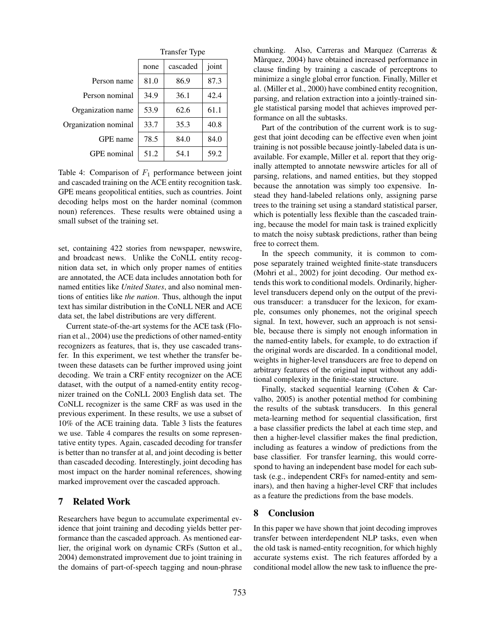|                      | <b>Transfer Type</b> |          |       |  |  |  |
|----------------------|----------------------|----------|-------|--|--|--|
|                      | none                 | cascaded | joint |  |  |  |
| Person name          | 81.0                 | 86.9     | 87.3  |  |  |  |
| Person nominal       | 34.9                 | 36.1     | 42.4  |  |  |  |
| Organization name    | 53.9                 | 62.6     | 61.1  |  |  |  |
| Organization nominal | 33.7                 | 35.3     | 40.8  |  |  |  |
| GPE name             | 78.5                 | 84.0     | 84.0  |  |  |  |
| GPE nominal          | 51.2                 | 54.1     | 59.2  |  |  |  |

Table 4: Comparison of  $F_1$  performance between joint and cascaded training on the ACE entity recognition task. GPE means geopolitical entities, such as countries. Joint decoding helps most on the harder nominal (common noun) references. These results were obtained using a small subset of the training set.

set, containing 422 stories from newspaper, newswire, and broadcast news. Unlike the CoNLL entity recognition data set, in which only proper names of entities are annotated, the ACE data includes annotation both for named entities like *United States*, and also nominal mentions of entities like *the nation*. Thus, although the input text has similar distribution in the CoNLL NER and ACE data set, the label distributions are very different.

Current state-of-the-art systems for the ACE task (Florian et al., 2004) use the predictions of other named-entity recognizers as features, that is, they use cascaded transfer. In this experiment, we test whether the transfer between these datasets can be further improved using joint decoding. We train a CRF entity recognizer on the ACE dataset, with the output of a named-entity entity recognizer trained on the CoNLL 2003 English data set. The CoNLL recognizer is the same CRF as was used in the previous experiment. In these results, we use a subset of 10% of the ACE training data. Table 3 lists the features we use. Table 4 compares the results on some representative entity types. Again, cascaded decoding for transfer is better than no transfer at al, and joint decoding is better than cascaded decoding. Interestingly, joint decoding has most impact on the harder nominal references, showing marked improvement over the cascaded approach.

### 7 Related Work

Researchers have begun to accumulate experimental evidence that joint training and decoding yields better performance than the cascaded approach. As mentioned earlier, the original work on dynamic CRFs (Sutton et al., 2004) demonstrated improvement due to joint training in the domains of part-of-speech tagging and noun-phrase chunking. Also, Carreras and Marquez (Carreras & Màrquez, 2004) have obtained increased performance in clause finding by training a cascade of perceptrons to minimize a single global error function. Finally, Miller et al. (Miller et al., 2000) have combined entity recognition, parsing, and relation extraction into a jointly-trained single statistical parsing model that achieves improved performance on all the subtasks.

Part of the contribution of the current work is to suggest that joint decoding can be effective even when joint training is not possible because jointly-labeled data is unavailable. For example, Miller et al. report that they originally attempted to annotate newswire articles for all of parsing, relations, and named entities, but they stopped because the annotation was simply too expensive. Instead they hand-labeled relations only, assigning parse trees to the training set using a standard statistical parser, which is potentially less flexible than the cascaded training, because the model for main task is trained explicitly to match the noisy subtask predictions, rather than being free to correct them.

In the speech community, it is common to compose separately trained weighted finite-state transducers (Mohri et al., 2002) for joint decoding. Our method extends this work to conditional models. Ordinarily, higherlevel transducers depend only on the output of the previous transducer: a transducer for the lexicon, for example, consumes only phonemes, not the original speech signal. In text, however, such an approach is not sensible, because there is simply not enough information in the named-entity labels, for example, to do extraction if the original words are discarded. In a conditional model, weights in higher-level transducers are free to depend on arbitrary features of the original input without any additional complexity in the finite-state structure.

Finally, stacked sequential learning (Cohen & Carvalho, 2005) is another potential method for combining the results of the subtask transducers. In this general meta-learning method for sequential classification, first a base classifier predicts the label at each time step, and then a higher-level classifier makes the final prediction, including as features a window of predictions from the base classifier. For transfer learning, this would correspond to having an independent base model for each subtask (e.g., independent CRFs for named-entity and seminars), and then having a higher-level CRF that includes as a feature the predictions from the base models.

# 8 Conclusion

In this paper we have shown that joint decoding improves transfer between interdependent NLP tasks, even when the old task is named-entity recognition, for which highly accurate systems exist. The rich features afforded by a conditional model allow the new task to influence the pre